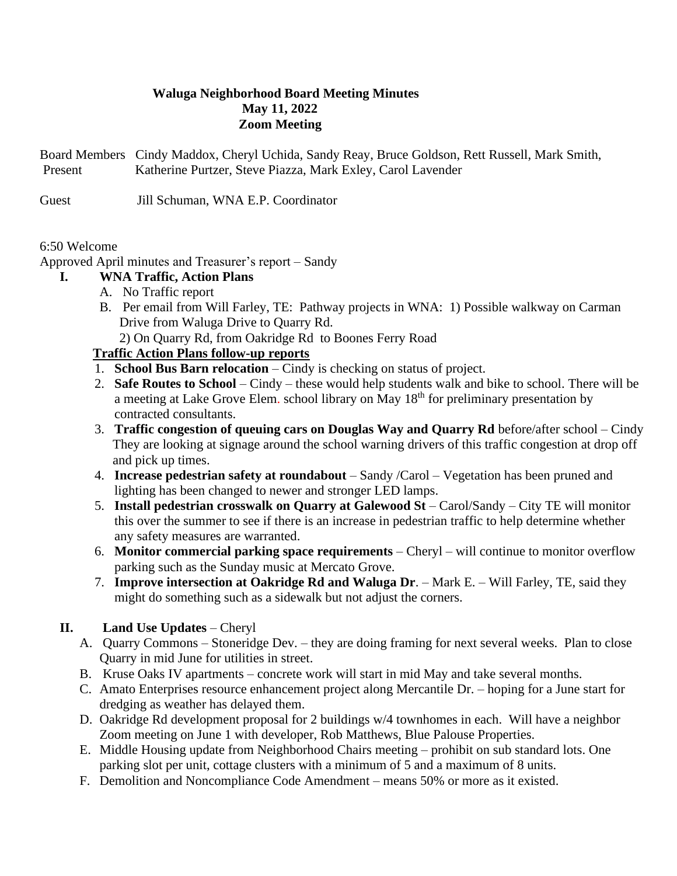# **Waluga Neighborhood Board Meeting Minutes May 11, 2022 Zoom Meeting**

Board Members Cindy Maddox, Cheryl Uchida, Sandy Reay, Bruce Goldson, Rett Russell, Mark Smith, Present Katherine Purtzer, Steve Piazza, Mark Exley, Carol Lavender

Guest Jill Schuman, WNA E.P. Coordinator

#### 6:50 Welcome

Approved April minutes and Treasurer's report – Sandy

## **I. WNA Traffic, Action Plans**

- A. No Traffic report
- B. Per email from Will Farley, TE: Pathway projects in WNA: 1) Possible walkway on Carman Drive from Waluga Drive to Quarry Rd.

2) On Quarry Rd, from Oakridge Rd to Boones Ferry Road

## **Traffic Action Plans follow-up reports**

- 1. **School Bus Barn relocation** Cindy is checking on status of project.
- 2. **Safe Routes to School** Cindy these would help students walk and bike to school. There will be a meeting at Lake Grove Elem. school library on May 18th for preliminary presentation by contracted consultants.
- 3. **Traffic congestion of queuing cars on Douglas Way and Quarry Rd** before/after school Cindy They are looking at signage around the school warning drivers of this traffic congestion at drop off and pick up times.
- 4. **Increase pedestrian safety at roundabout** Sandy /Carol Vegetation has been pruned and lighting has been changed to newer and stronger LED lamps.
- 5. **Install pedestrian crosswalk on Quarry at Galewood St** Carol/Sandy City TE will monitor this over the summer to see if there is an increase in pedestrian traffic to help determine whether any safety measures are warranted.
- 6. **Monitor commercial parking space requirements** Cheryl will continue to monitor overflow parking such as the Sunday music at Mercato Grove.
- 7. **Improve intersection at Oakridge Rd and Waluga Dr**. Mark E. Will Farley, TE, said they might do something such as a sidewalk but not adjust the corners.

## **II. Land Use Updates** – Cheryl

- A. Quarry Commons Stoneridge Dev. they are doing framing for next several weeks. Plan to close Quarry in mid June for utilities in street.
- B. Kruse Oaks IV apartments concrete work will start in mid May and take several months.
- C. Amato Enterprises resource enhancement project along Mercantile Dr. hoping for a June start for dredging as weather has delayed them.
- D. Oakridge Rd development proposal for 2 buildings w/4 townhomes in each. Will have a neighbor Zoom meeting on June 1 with developer, Rob Matthews, Blue Palouse Properties.
- E. Middle Housing update from Neighborhood Chairs meeting prohibit on sub standard lots. One parking slot per unit, cottage clusters with a minimum of 5 and a maximum of 8 units.
- F. Demolition and Noncompliance Code Amendment means 50% or more as it existed.